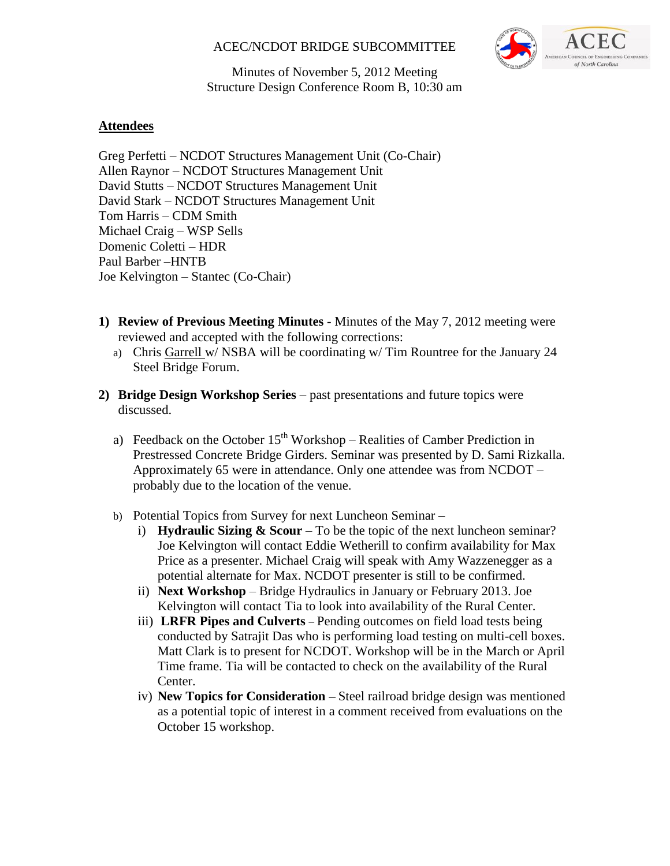### ACEC/NCDOT BRIDGE SUBCOMMITTEE



Minutes of November 5, 2012 Meeting Structure Design Conference Room B, 10:30 am

### **Attendees**

Greg Perfetti – NCDOT Structures Management Unit (Co-Chair) Allen Raynor – NCDOT Structures Management Unit David Stutts – NCDOT Structures Management Unit David Stark – NCDOT Structures Management Unit Tom Harris – CDM Smith Michael Craig – WSP Sells Domenic Coletti – HDR Paul Barber –HNTB Joe Kelvington – Stantec (Co-Chair)

- **1) Review of Previous Meeting Minutes** Minutes of the May 7, 2012 meeting were reviewed and accepted with the following corrections:
	- a) Chris Garrell w/ NSBA will be coordinating w/ Tim Rountree for the January 24 Steel Bridge Forum.
- **2) Bridge Design Workshop Series** past presentations and future topics were discussed.
	- a) Feedback on the October  $15<sup>th</sup>$  Workshop Realities of Camber Prediction in Prestressed Concrete Bridge Girders. Seminar was presented by D. Sami Rizkalla. Approximately 65 were in attendance. Only one attendee was from NCDOT – probably due to the location of the venue.
	- b) Potential Topics from Survey for next Luncheon Seminar
		- i) **Hydraulic Sizing**  $\&$  **Scour** To be the topic of the next luncheon seminar? Joe Kelvington will contact Eddie Wetherill to confirm availability for Max Price as a presenter. Michael Craig will speak with Amy Wazzenegger as a potential alternate for Max. NCDOT presenter is still to be confirmed.
		- ii) **Next Workshop**  Bridge Hydraulics in January or February 2013. Joe Kelvington will contact Tia to look into availability of the Rural Center.
		- iii) **LRFR Pipes and Culverts** Pending outcomes on field load tests being conducted by Satrajit Das who is performing load testing on multi-cell boxes. Matt Clark is to present for NCDOT. Workshop will be in the March or April Time frame. Tia will be contacted to check on the availability of the Rural Center.
		- iv) **New Topics for Consideration –** Steel railroad bridge design was mentioned as a potential topic of interest in a comment received from evaluations on the October 15 workshop.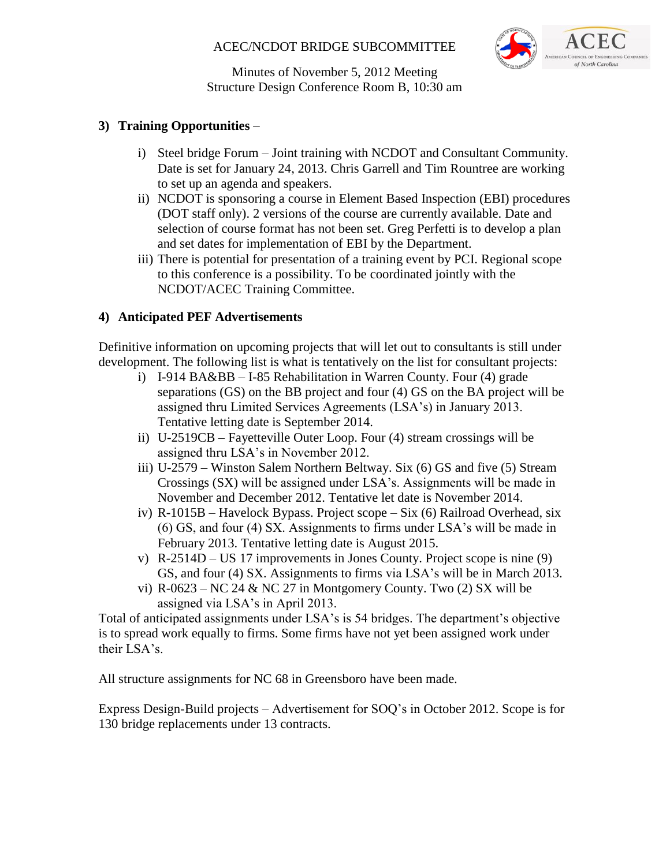# ACEC/NCDOT BRIDGE SUBCOMMITTEE



Minutes of November 5, 2012 Meeting Structure Design Conference Room B, 10:30 am

# **3) Training Opportunities** –

- i) Steel bridge Forum Joint training with NCDOT and Consultant Community. Date is set for January 24, 2013. Chris Garrell and Tim Rountree are working to set up an agenda and speakers.
- ii) NCDOT is sponsoring a course in Element Based Inspection (EBI) procedures (DOT staff only). 2 versions of the course are currently available. Date and selection of course format has not been set. Greg Perfetti is to develop a plan and set dates for implementation of EBI by the Department.
- iii) There is potential for presentation of a training event by PCI. Regional scope to this conference is a possibility. To be coordinated jointly with the NCDOT/ACEC Training Committee.

# **4) Anticipated PEF Advertisements**

Definitive information on upcoming projects that will let out to consultants is still under development. The following list is what is tentatively on the list for consultant projects:

- i) I-914 BA&BB I-85 Rehabilitation in Warren County. Four (4) grade separations (GS) on the BB project and four (4) GS on the BA project will be assigned thru Limited Services Agreements (LSA's) in January 2013. Tentative letting date is September 2014.
- ii) U-2519CB Fayetteville Outer Loop. Four (4) stream crossings will be assigned thru LSA's in November 2012.
- iii) U-2579 Winston Salem Northern Beltway. Six (6) GS and five (5) Stream Crossings (SX) will be assigned under LSA's. Assignments will be made in November and December 2012. Tentative let date is November 2014.
- iv) R-1015B Havelock Bypass. Project scope Six (6) Railroad Overhead, six (6) GS, and four (4) SX. Assignments to firms under LSA's will be made in February 2013. Tentative letting date is August 2015.
- v) R-2514D US 17 improvements in Jones County. Project scope is nine (9) GS, and four (4) SX. Assignments to firms via LSA's will be in March 2013.
- vi)  $R-0623 NC 24 & NC 27$  in Montgomery County. Two (2) SX will be assigned via LSA's in April 2013.

Total of anticipated assignments under LSA's is 54 bridges. The department's objective is to spread work equally to firms. Some firms have not yet been assigned work under their LSA's.

All structure assignments for NC 68 in Greensboro have been made.

Express Design-Build projects – Advertisement for SOQ's in October 2012. Scope is for 130 bridge replacements under 13 contracts.